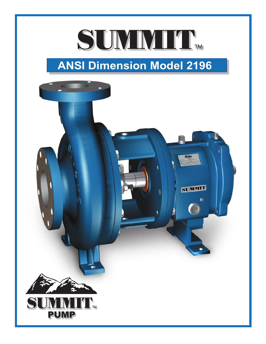# SUMMITT.

## **ANSI Dimension Model 2196**

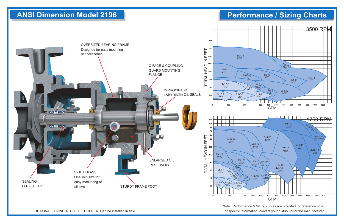### **ANSI Dimension Model 2196 Performance / Sizing Charts**



OPTIONAL: FINNED-TUBE OIL COOLER Can be installed in field

Note: Performance & Sizing curves are provided for reference only. For specific information, contact your distributor or the manufacturer.